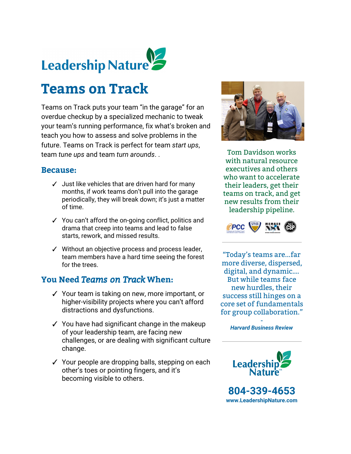

# **Teams on Track**

Teams on Track puts your team "in the garage" for an overdue checkup by a specialized mechanic to tweak your team's running performance, fix what's broken and teach you how to assess and solve problems in the future. Teams on Track is perfect for team *start ups*, team *tune ups* and team *turn arounds*. .

#### **Because:**

- ✓ Just like vehicles that are driven hard for many months, if work teams don't pull into the garage periodically, they will break down; it's just a matter of time.
- ✓ You can't afford the on-going conflict, politics and drama that creep into teams and lead to false starts, rework, and missed results.
- ✓ Without an objective process and process leader, team members have a hard time seeing the forest for the trees.

## **You Need** *Teams on Track***When:**

- ✓ Your team is taking on new, more important, or higher-visibility projects where you can't afford distractions and dysfunctions.
- ✓ You have had significant change in the makeup of your leadership team, are facing new challenges, or are dealing with significant culture change.
- ✓ Your people are dropping balls, stepping on each other's toes or pointing fingers, and it's becoming visible to others.



Tom Davidson works with natural resource executives and others who want to accelerate their leaders, get their teams on track, and get new results from their leadership pipeline.



"Today's teams are...far more diverse, dispersed, digital, and dynamic…. But while teams face new hurdles, their success still hinges on a core set of fundamentals for group collaboration."

> - *Harvard Business Review*



**804-339-4653 [www.LeadershipNature.com](http://www.leadershipnature.com/)**